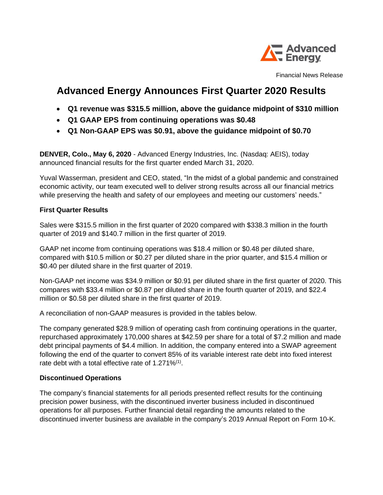

Financial News Release

## **Advanced Energy Announces First Quarter 2020 Results**

- **Q1 revenue was \$315.5 million, above the guidance midpoint of \$310 million**
- **Q1 GAAP EPS from continuing operations was \$0.48**
- **Q1 Non-GAAP EPS was \$0.91, above the guidance midpoint of \$0.70**

**DENVER, Colo., May 6, 2020** - Advanced Energy Industries, Inc. (Nasdaq: AEIS), today announced financial results for the first quarter ended March 31, 2020.

Yuval Wasserman, president and CEO, stated, "In the midst of a global pandemic and constrained economic activity, our team executed well to deliver strong results across all our financial metrics while preserving the health and safety of our employees and meeting our customers' needs."

## **First Quarter Results**

Sales were \$315.5 million in the first quarter of 2020 compared with \$338.3 million in the fourth quarter of 2019 and \$140.7 million in the first quarter of 2019.

GAAP net income from continuing operations was \$18.4 million or \$0.48 per diluted share, compared with \$10.5 million or \$0.27 per diluted share in the prior quarter, and \$15.4 million or \$0.40 per diluted share in the first quarter of 2019.

Non-GAAP net income was \$34.9 million or \$0.91 per diluted share in the first quarter of 2020. This compares with \$33.4 million or \$0.87 per diluted share in the fourth quarter of 2019, and \$22.4 million or \$0.58 per diluted share in the first quarter of 2019.

A reconciliation of non-GAAP measures is provided in the tables below.

The company generated \$28.9 million of operating cash from continuing operations in the quarter, repurchased approximately 170,000 shares at \$42.59 per share for a total of \$7.2 million and made debt principal payments of \$4.4 million. In addition, the company entered into a SWAP agreement following the end of the quarter to convert 85% of its variable interest rate debt into fixed interest rate debt with a total effective rate of 1.271%<sup>(1)</sup>.

## **Discontinued Operations**

The company's financial statements for all periods presented reflect results for the continuing precision power business, with the discontinued inverter business included in discontinued operations for all purposes. Further financial detail regarding the amounts related to the discontinued inverter business are available in the company's 2019 Annual Report on Form 10-K.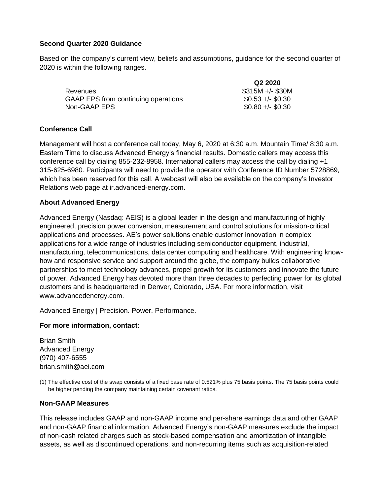## **Second Quarter 2020 Guidance**

Based on the company's current view, beliefs and assumptions, guidance for the second quarter of 2020 is within the following ranges.

|                                     | Q2 2020           |
|-------------------------------------|-------------------|
| Revenues                            | $$315M +/- $30M$  |
| GAAP EPS from continuing operations | $$0.53 +/- $0.30$ |
| Non-GAAP EPS                        | $$0.80 +/- $0.30$ |

## **Conference Call**

Management will host a conference call today, May 6, 2020 at 6:30 a.m. Mountain Time/ 8:30 a.m. Eastern Time to discuss Advanced Energy's financial results. Domestic callers may access this conference call by dialing 855-232-8958. International callers may access the call by dialing +1 315-625-6980. Participants will need to provide the operator with Conference ID Number 5728869, which has been reserved for this call. A webcast will also be available on the company's Investor Relations web page at ir.advanced-energy.com**.**

## **About Advanced Energy**

Advanced Energy (Nasdaq: AEIS) is a global leader in the design and manufacturing of highly engineered, precision power conversion, measurement and control solutions for mission-critical applications and processes. AE's power solutions enable customer innovation in complex applications for a wide range of industries including semiconductor equipment, industrial, manufacturing, telecommunications, data center computing and healthcare. With engineering knowhow and responsive service and support around the globe, the company builds collaborative partnerships to meet technology advances, propel growth for its customers and innovate the future of power. Advanced Energy has devoted more than three decades to perfecting power for its global customers and is headquartered in Denver, Colorado, USA. For more information, visit www.advancedenergy.com.

Advanced Energy | Precision. Power. Performance.

## **For more information, contact:**

Brian Smith Advanced Energy (970) 407-6555 brian.smith@aei.com

## **Non-GAAP Measures**

This release includes GAAP and non-GAAP income and per-share earnings data and other GAAP and non-GAAP financial information. Advanced Energy's non-GAAP measures exclude the impact of non-cash related charges such as stock-based compensation and amortization of intangible assets, as well as discontinued operations, and non-recurring items such as acquisition-related

<sup>(1)</sup> The effective cost of the swap consists of a fixed base rate of 0.521% plus 75 basis points. The 75 basis points could be higher pending the company maintaining certain covenant ratios.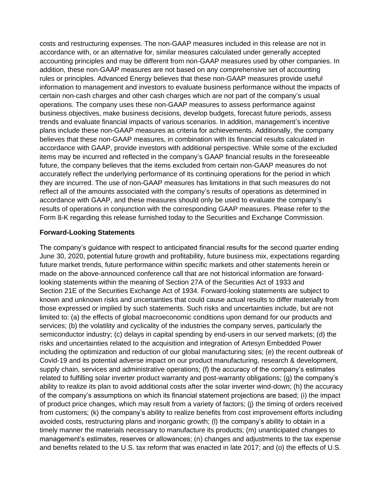costs and restructuring expenses. The non-GAAP measures included in this release are not in accordance with, or an alternative for, similar measures calculated under generally accepted accounting principles and may be different from non-GAAP measures used by other companies. In addition, these non-GAAP measures are not based on any comprehensive set of accounting rules or principles. Advanced Energy believes that these non-GAAP measures provide useful information to management and investors to evaluate business performance without the impacts of certain non-cash charges and other cash charges which are not part of the company's usual operations. The company uses these non-GAAP measures to assess performance against business objectives, make business decisions, develop budgets, forecast future periods, assess trends and evaluate financial impacts of various scenarios. In addition, management's incentive plans include these non-GAAP measures as criteria for achievements. Additionally, the company believes that these non-GAAP measures, in combination with its financial results calculated in accordance with GAAP, provide investors with additional perspective. While some of the excluded items may be incurred and reflected in the company's GAAP financial results in the foreseeable future, the company believes that the items excluded from certain non-GAAP measures do not accurately reflect the underlying performance of its continuing operations for the period in which they are incurred. The use of non-GAAP measures has limitations in that such measures do not reflect all of the amounts associated with the company's results of operations as determined in accordance with GAAP, and these measures should only be used to evaluate the company's results of operations in conjunction with the corresponding GAAP measures. Please refer to the Form 8-K regarding this release furnished today to the Securities and Exchange Commission.

## **Forward-Looking Statements**

The company's guidance with respect to anticipated financial results for the second quarter ending June 30, 2020, potential future growth and profitability, future business mix, expectations regarding future market trends, future performance within specific markets and other statements herein or made on the above-announced conference call that are not historical information are forwardlooking statements within the meaning of Section 27A of the Securities Act of 1933 and Section 21E of the Securities Exchange Act of 1934. Forward-looking statements are subject to known and unknown risks and uncertainties that could cause actual results to differ materially from those expressed or implied by such statements. Such risks and uncertainties include, but are not limited to: (a) the effects of global macroeconomic conditions upon demand for our products and services; (b) the volatility and cyclicality of the industries the company serves, particularly the semiconductor industry; (c) delays in capital spending by end-users in our served markets; (d) the risks and uncertainties related to the acquisition and integration of Artesyn Embedded Power including the optimization and reduction of our global manufacturing sites; (e) the recent outbreak of Covid-19 and its potential adverse impact on our product manufacturing, research & development, supply chain, services and administrative operations; (f) the accuracy of the company's estimates related to fulfilling solar inverter product warranty and post-warranty obligations; (g) the company's ability to realize its plan to avoid additional costs after the solar inverter wind-down; (h) the accuracy of the company's assumptions on which its financial statement projections are based; (i) the impact of product price changes, which may result from a variety of factors; (j) the timing of orders received from customers; (k) the company's ability to realize benefits from cost improvement efforts including avoided costs, restructuring plans and inorganic growth; (l) the company's ability to obtain in a timely manner the materials necessary to manufacture its products; (m) unanticipated changes to management's estimates, reserves or allowances; (n) changes and adjustments to the tax expense and benefits related to the U.S. tax reform that was enacted in late 2017; and (o) the effects of U.S.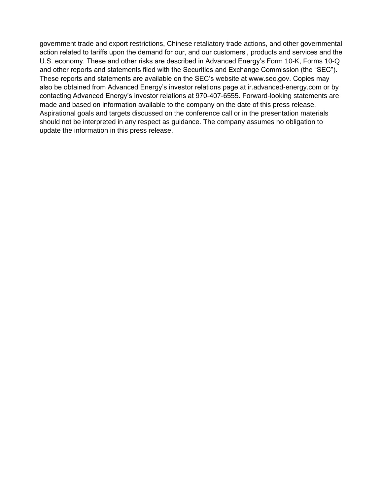government trade and export restrictions, Chinese retaliatory trade actions, and other governmental action related to tariffs upon the demand for our, and our customers', products and services and the U.S. economy. These and other risks are described in Advanced Energy's Form 10-K, Forms 10-Q and other reports and statements filed with the Securities and Exchange Commission (the "SEC"). These reports and statements are available on the SEC's website at www.sec.gov. Copies may also be obtained from Advanced Energy's investor relations page at ir.advanced-energy.com or by contacting Advanced Energy's investor relations at 970-407-6555. Forward-looking statements are made and based on information available to the company on the date of this press release. Aspirational goals and targets discussed on the conference call or in the presentation materials should not be interpreted in any respect as guidance. The company assumes no obligation to update the information in this press release.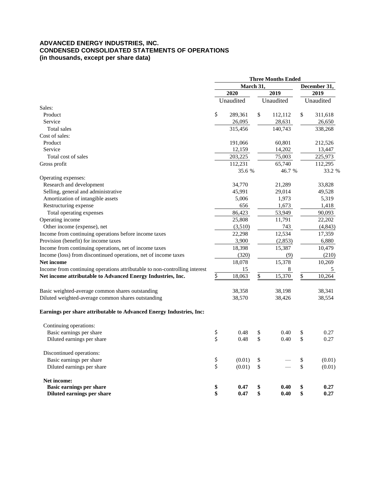#### **ADVANCED ENERGY INDUSTRIES, INC. CONDENSED CONSOLIDATED STATEMENTS OF OPERATIONS (in thousands, except per share data)**

|                                                                            | <b>Three Months Ended</b> |                   |      |           |              |           |  |
|----------------------------------------------------------------------------|---------------------------|-------------------|------|-----------|--------------|-----------|--|
|                                                                            |                           |                   |      |           | December 31, |           |  |
|                                                                            |                           | March 31,<br>2020 | 2019 |           | 2019         |           |  |
|                                                                            | Unaudited                 |                   |      | Unaudited |              | Unaudited |  |
| Sales:                                                                     |                           |                   |      |           |              |           |  |
| Product                                                                    | \$                        | 289,361           | \$   | 112,112   | \$           | 311,618   |  |
| Service                                                                    |                           | 26,095            |      | 28,631    |              | 26,650    |  |
| Total sales                                                                |                           | 315,456           |      | 140,743   |              | 338,268   |  |
| Cost of sales:                                                             |                           |                   |      |           |              |           |  |
| Product                                                                    |                           | 191,066           |      | 60,801    |              | 212,526   |  |
| Service                                                                    |                           | 12,159            |      | 14,202    |              | 13,447    |  |
| Total cost of sales                                                        |                           | 203,225           |      | 75,003    |              | 225,973   |  |
| Gross profit                                                               |                           | 112,231           |      | 65,740    |              | 112,295   |  |
|                                                                            |                           | 35.6 %            |      | 46.7 %    |              | 33.2 %    |  |
| Operating expenses:                                                        |                           |                   |      |           |              |           |  |
| Research and development                                                   |                           | 34,770            |      | 21,289    |              | 33,828    |  |
| Selling, general and administrative                                        |                           | 45,991            |      | 29,014    |              | 49,528    |  |
| Amortization of intangible assets                                          |                           | 5,006             |      | 1,973     |              | 5,319     |  |
| Restructuring expense                                                      |                           | 656               |      | 1,673     |              | 1,418     |  |
| Total operating expenses                                                   |                           | 86,423            |      | 53,949    |              | 90,093    |  |
| Operating income                                                           |                           | 25,808            |      | 11,791    |              | 22,202    |  |
| Other income (expense), net                                                |                           | (3,510)           |      | 743       |              | (4, 843)  |  |
| Income from continuing operations before income taxes                      |                           | 22,298            |      | 12,534    |              | 17,359    |  |
| Provision (benefit) for income taxes                                       |                           | 3,900             |      | (2,853)   |              | 6,880     |  |
| Income from continuing operations, net of income taxes                     |                           | 18,398            |      | 15,387    |              | 10,479    |  |
| Income (loss) from discontinued operations, net of income taxes            |                           | (320)             |      | (9)       |              | (210)     |  |
| <b>Net income</b>                                                          |                           | 18,078            |      | 15,378    |              | 10,269    |  |
| Income from continuing operations attributable to non-controlling interest |                           | 15                |      | 8         |              | 5         |  |
| Net income attributable to Advanced Energy Industries, Inc.                | \$                        | 18,063            | \$   | 15,370    | \$           | 10,264    |  |
| Basic weighted-average common shares outstanding                           |                           | 38,358            |      | 38,198    |              | 38,341    |  |
| Diluted weighted-average common shares outstanding                         |                           | 38,570            |      | 38,426    |              | 38,554    |  |
| Earnings per share attributable to Advanced Energy Industries, Inc:        |                           |                   |      |           |              |           |  |
| Continuing operations:                                                     |                           |                   |      |           |              |           |  |
| Basic earnings per share                                                   | \$                        | 0.48              | \$   | 0.40      | \$           | 0.27      |  |
| Diluted earnings per share                                                 | \$                        | 0.48              | \$   | 0.40      | \$           | 0.27      |  |
| Discontinued operations:                                                   |                           |                   |      |           |              |           |  |
| Basic earnings per share                                                   | \$                        | (0.01)            | \$   |           | \$           | (0.01)    |  |
| Diluted earnings per share                                                 | \$                        | (0.01)            | \$   |           | \$           | (0.01)    |  |
| Net income:                                                                |                           |                   |      |           |              |           |  |
| <b>Basic earnings per share</b>                                            | \$                        | 0.47              | \$   | 0.40      | \$           | 0.27      |  |
| Diluted earnings per share                                                 | \$                        | 0.47              | \$   | 0.40      | \$           | 0.27      |  |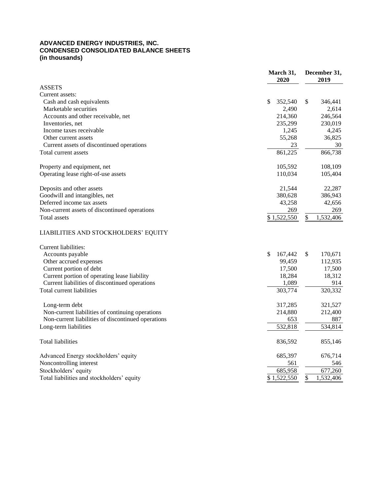#### **ADVANCED ENERGY INDUSTRIES, INC. CONDENSED CONSOLIDATED BALANCE SHEETS (in thousands)**

|                                                    | March 31,<br>2020 | December 31,<br>2019 |  |
|----------------------------------------------------|-------------------|----------------------|--|
| <b>ASSETS</b>                                      |                   |                      |  |
| Current assets:                                    |                   |                      |  |
| Cash and cash equivalents                          | \$<br>352,540     | \$<br>346,441        |  |
| Marketable securities                              | 2,490             | 2,614                |  |
| Accounts and other receivable, net                 | 214,360           | 246,564              |  |
| Inventories, net                                   | 235,299           | 230,019              |  |
| Income taxes receivable                            | 1,245             | 4,245                |  |
| Other current assets                               | 55,268            | 36,825               |  |
| Current assets of discontinued operations          | 23                | 30                   |  |
| Total current assets                               | 861,225           | 866,738              |  |
| Property and equipment, net                        | 105,592           | 108,109              |  |
| Operating lease right-of-use assets                | 110,034           | 105,404              |  |
| Deposits and other assets                          | 21,544            | 22,287               |  |
| Goodwill and intangibles, net                      | 380,628           | 386,943              |  |
| Deferred income tax assets                         | 43,258            | 42,656               |  |
| Non-current assets of discontinued operations      | 269               | 269                  |  |
| Total assets                                       | \$1,522,550       | 1,532,406<br>\$      |  |
| LIABILITIES AND STOCKHOLDERS' EQUITY               |                   |                      |  |
| Current liabilities:                               |                   |                      |  |
| Accounts payable                                   | \$<br>167,442     | \$<br>170,671        |  |
| Other accrued expenses                             | 99,459            | 112,935              |  |
| Current portion of debt                            | 17,500            | 17,500               |  |
| Current portion of operating lease liability       | 18,284            | 18,312               |  |
| Current liabilities of discontinued operations     | 1,089             | 914                  |  |
| Total current liabilities                          | 303,774           | 320,332              |  |
| Long-term debt                                     | 317,285           | 321,527              |  |
| Non-current liabilities of continuing operations   | 214,880           | 212,400              |  |
| Non-current liabilities of discontinued operations | 653               | 887                  |  |
| Long-term liabilities                              | 532,818           | 534,814              |  |
| <b>Total liabilities</b>                           | 836,592           | 855,146              |  |
| Advanced Energy stockholders' equity               | 685,397           | 676,714              |  |
| Noncontrolling interest                            | 561               | 546                  |  |
| Stockholders' equity                               | 685,958           | 677,260              |  |
| Total liabilities and stockholders' equity         | \$1,522,550       | \$<br>1,532,406      |  |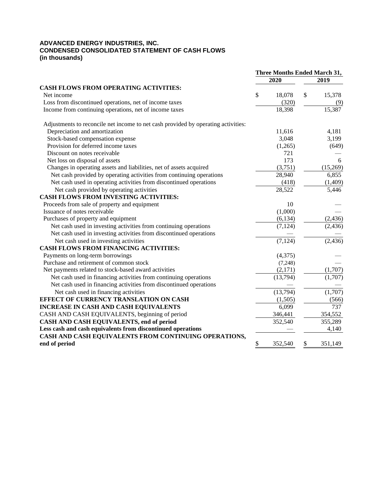#### **ADVANCED ENERGY INDUSTRIES, INC. CONDENSED CONSOLIDATED STATEMENT OF CASH FLOWS (in thousands)**

|                                                                                   | <b>Three Months Ended March 31,</b> |          |    |          |  |  |  |
|-----------------------------------------------------------------------------------|-------------------------------------|----------|----|----------|--|--|--|
|                                                                                   |                                     | 2020     |    | 2019     |  |  |  |
| <b>CASH FLOWS FROM OPERATING ACTIVITIES:</b>                                      |                                     |          |    |          |  |  |  |
| Net income                                                                        | \$                                  | 18,078   | S  | 15,378   |  |  |  |
| Loss from discontinued operations, net of income taxes                            |                                     | (320)    |    | (9)      |  |  |  |
| Income from continuing operations, net of income taxes                            |                                     | 18,398   |    | 15,387   |  |  |  |
| Adjustments to reconcile net income to net cash provided by operating activities: |                                     |          |    |          |  |  |  |
| Depreciation and amortization                                                     |                                     | 11,616   |    | 4,181    |  |  |  |
| Stock-based compensation expense                                                  |                                     | 3,048    |    | 3,199    |  |  |  |
| Provision for deferred income taxes                                               |                                     | (1,265)  |    | (649)    |  |  |  |
| Discount on notes receivable                                                      |                                     | 721      |    |          |  |  |  |
| Net loss on disposal of assets                                                    |                                     | 173      |    | 6        |  |  |  |
| Changes in operating assets and liabilities, net of assets acquired               |                                     | (3,751)  |    | (15,269) |  |  |  |
| Net cash provided by operating activities from continuing operations              |                                     | 28,940   |    | 6,855    |  |  |  |
| Net cash used in operating activities from discontinued operations                |                                     | (418)    |    | (1,409)  |  |  |  |
| Net cash provided by operating activities                                         |                                     | 28,522   |    | 5,446    |  |  |  |
| <b>CASH FLOWS FROM INVESTING ACTIVITIES:</b>                                      |                                     |          |    |          |  |  |  |
| Proceeds from sale of property and equipment                                      |                                     | 10       |    |          |  |  |  |
| Issuance of notes receivable                                                      |                                     | (1,000)  |    |          |  |  |  |
| Purchases of property and equipment                                               |                                     | (6, 134) |    | (2, 436) |  |  |  |
| Net cash used in investing activities from continuing operations                  |                                     | (7, 124) |    | (2, 436) |  |  |  |
| Net cash used in investing activities from discontinued operations                |                                     |          |    |          |  |  |  |
| Net cash used in investing activities                                             |                                     | (7, 124) |    | (2, 436) |  |  |  |
| <b>CASH FLOWS FROM FINANCING ACTIVITIES:</b>                                      |                                     |          |    |          |  |  |  |
| Payments on long-term borrowings                                                  |                                     | (4,375)  |    |          |  |  |  |
| Purchase and retirement of common stock                                           |                                     | (7,248)  |    |          |  |  |  |
| Net payments related to stock-based award activities                              |                                     | (2,171)  |    | (1,707)  |  |  |  |
| Net cash used in financing activities from continuing operations                  |                                     | (13,794) |    | (1,707)  |  |  |  |
| Net cash used in financing activities from discontinued operations                |                                     |          |    |          |  |  |  |
| Net cash used in financing activities                                             |                                     | (13,794) |    | (1,707)  |  |  |  |
| <b>EFFECT OF CURRENCY TRANSLATION ON CASH</b>                                     |                                     | (1,505)  |    | (566)    |  |  |  |
| <b>INCREASE IN CASH AND CASH EQUIVALENTS</b>                                      |                                     | 6,099    |    | 737      |  |  |  |
| CASH AND CASH EQUIVALENTS, beginning of period                                    |                                     | 346,441  |    | 354,552  |  |  |  |
| CASH AND CASH EQUIVALENTS, end of period                                          |                                     | 352,540  |    | 355,289  |  |  |  |
| Less cash and cash equivalents from discontinued operations                       |                                     |          |    | 4,140    |  |  |  |
| CASH AND CASH EQUIVALENTS FROM CONTINUING OPERATIONS,                             |                                     |          |    |          |  |  |  |
| end of period                                                                     | \$                                  | 352,540  | \$ | 351,149  |  |  |  |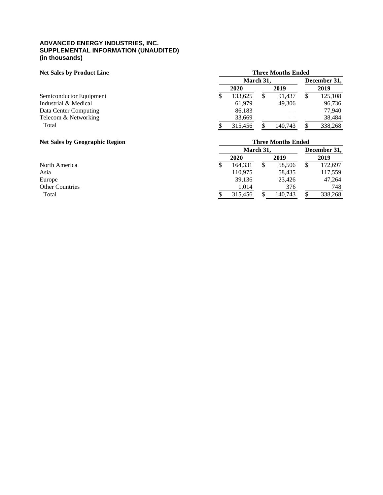#### **ADVANCED ENERGY INDUSTRIES, INC. SUPPLEMENTAL INFORMATION (UNAUDITED) (in thousands)**

#### **Net Sales by Product Line Three Months Ended**

|                         |    | March 31, |  |         |      | December 31, |  |  |
|-------------------------|----|-----------|--|---------|------|--------------|--|--|
|                         |    | 2020      |  | 2019    | 2019 |              |  |  |
| Semiconductor Equipment | \$ | 133.625   |  | 91.437  |      | 125,108      |  |  |
| Industrial & Medical    |    | 61.979    |  | 49.306  |      | 96,736       |  |  |
| Data Center Computing   |    | 86,183    |  |         |      | 77.940       |  |  |
| Telecom & Networking    |    | 33,669    |  |         |      | 38,484       |  |  |
| Total                   |    | 315,456   |  | 140.743 |      | 338,268      |  |  |

## **Net Sales by Geographic Region Three Months Ended**

|                        | March 31. |         |  |         |  | December 31, |  |  |
|------------------------|-----------|---------|--|---------|--|--------------|--|--|
|                        |           | 2020    |  | 2019    |  | 2019         |  |  |
| North America          | J         | 164.331 |  | 58,506  |  | 172,697      |  |  |
| Asia                   |           | 110,975 |  | 58,435  |  | 117,559      |  |  |
| Europe                 |           | 39.136  |  | 23,426  |  | 47,264       |  |  |
| <b>Other Countries</b> |           | 1,014   |  | 376     |  | 748          |  |  |
| Total                  |           | 315,456 |  | 140.743 |  | 338,268      |  |  |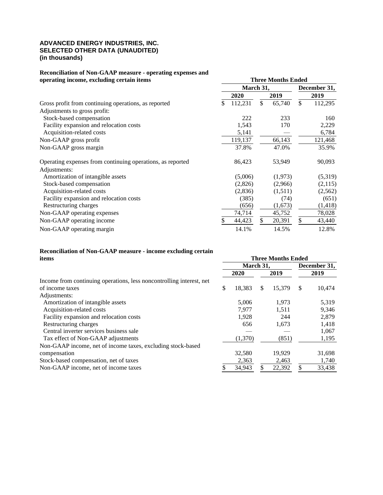#### **ADVANCED ENERGY INDUSTRIES, INC. SELECTED OTHER DATA (UNAUDITED) (in thousands)**

## **Reconciliation of Non-GAAP measure - operating expenses and**

| operating income, excluding certain items                  | <b>Three Months Ended</b> |    |         |      |              |  |  |  |
|------------------------------------------------------------|---------------------------|----|---------|------|--------------|--|--|--|
|                                                            | March 31,                 |    |         |      | December 31, |  |  |  |
|                                                            | 2020                      |    | 2019    | 2019 |              |  |  |  |
| Gross profit from continuing operations, as reported       | \$<br>112,231             | \$ | 65,740  | \$   | 112,295      |  |  |  |
| Adjustments to gross profit:                               |                           |    |         |      |              |  |  |  |
| Stock-based compensation                                   | 222                       |    | 233     |      | 160          |  |  |  |
| Facility expansion and relocation costs                    | 1,543                     |    | 170     |      | 2,229        |  |  |  |
| Acquisition-related costs                                  | 5,141                     |    |         |      | 6,784        |  |  |  |
| Non-GAAP gross profit                                      | 119,137                   |    | 66,143  |      | 121,468      |  |  |  |
| Non-GAAP gross margin                                      | 37.8%                     |    | 47.0%   |      | 35.9%        |  |  |  |
| Operating expenses from continuing operations, as reported | 86,423                    |    | 53,949  |      | 90,093       |  |  |  |
| Adjustments:                                               |                           |    |         |      |              |  |  |  |
| Amortization of intangible assets                          | (5,006)                   |    | (1,973) |      | (5,319)      |  |  |  |
| Stock-based compensation                                   | (2,826)                   |    | (2,966) |      | (2,115)      |  |  |  |
| Acquisition-related costs                                  | (2,836)                   |    | (1,511) |      | (2, 562)     |  |  |  |
| Facility expansion and relocation costs                    | (385)                     |    | (74)    |      | (651)        |  |  |  |
| Restructuring charges                                      | (656)                     |    | (1,673) |      | (1, 418)     |  |  |  |
| Non-GAAP operating expenses                                | 74,714                    |    | 45,752  |      | 78,028       |  |  |  |
| Non-GAAP operating income                                  | 44,423                    | \$ | 20,391  | \$   | 43,440       |  |  |  |
| Non-GAAP operating margin                                  | 14.1%                     |    | 14.5%   |      | 12.8%        |  |  |  |

# **Reconciliation of Non-GAAP measure - income excluding certain**

| items                                                                | <b>Three Months Ended</b> |           |    |        |               |              |  |  |
|----------------------------------------------------------------------|---------------------------|-----------|----|--------|---------------|--------------|--|--|
|                                                                      |                           | March 31, |    |        |               | December 31, |  |  |
|                                                                      |                           | 2020      |    | 2019   |               | 2019         |  |  |
| Income from continuing operations, less noncontrolling interest, net |                           |           |    |        |               |              |  |  |
| of income taxes                                                      | \$                        | 18,383    | \$ | 15.379 | <sup>\$</sup> | 10,474       |  |  |
| Adjustments:                                                         |                           |           |    |        |               |              |  |  |
| Amortization of intangible assets                                    |                           | 5,006     |    | 1,973  |               | 5,319        |  |  |
| Acquisition-related costs                                            |                           | 7.977     |    | 1,511  |               | 9,346        |  |  |
| Facility expansion and relocation costs                              |                           | 1,928     |    | 244    |               | 2,879        |  |  |
| Restructuring charges                                                |                           | 656       |    | 1,673  |               | 1,418        |  |  |
| Central inverter services business sale                              |                           |           |    |        |               | 1,067        |  |  |
| Tax effect of Non-GAAP adjustments                                   |                           | (1,370)   |    | (851)  |               | 1,195        |  |  |
| Non-GAAP income, net of income taxes, excluding stock-based          |                           |           |    |        |               |              |  |  |
| compensation                                                         |                           | 32,580    |    | 19,929 |               | 31,698       |  |  |
| Stock-based compensation, net of taxes                               |                           | 2,363     |    | 2,463  |               | 1,740        |  |  |
| Non-GAAP income, net of income taxes                                 |                           | 34,943    | \$ | 22,392 |               | 33,438       |  |  |
|                                                                      |                           |           |    |        |               |              |  |  |